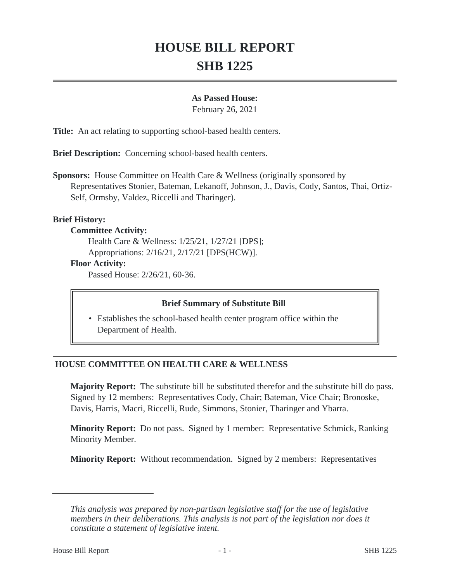# **HOUSE BILL REPORT SHB 1225**

## **As Passed House:**

February 26, 2021

**Title:** An act relating to supporting school-based health centers.

**Brief Description:** Concerning school-based health centers.

**Sponsors:** House Committee on Health Care & Wellness (originally sponsored by Representatives Stonier, Bateman, Lekanoff, Johnson, J., Davis, Cody, Santos, Thai, Ortiz-Self, Ormsby, Valdez, Riccelli and Tharinger).

## **Brief History:**

## **Committee Activity:**

Health Care & Wellness: 1/25/21, 1/27/21 [DPS]; Appropriations: 2/16/21, 2/17/21 [DPS(HCW)].

## **Floor Activity:**

Passed House: 2/26/21, 60-36.

## **Brief Summary of Substitute Bill**

• Establishes the school-based health center program office within the Department of Health.

# **HOUSE COMMITTEE ON HEALTH CARE & WELLNESS**

**Majority Report:** The substitute bill be substituted therefor and the substitute bill do pass. Signed by 12 members: Representatives Cody, Chair; Bateman, Vice Chair; Bronoske, Davis, Harris, Macri, Riccelli, Rude, Simmons, Stonier, Tharinger and Ybarra.

**Minority Report:** Do not pass. Signed by 1 member: Representative Schmick, Ranking Minority Member.

**Minority Report:** Without recommendation. Signed by 2 members: Representatives

*This analysis was prepared by non-partisan legislative staff for the use of legislative members in their deliberations. This analysis is not part of the legislation nor does it constitute a statement of legislative intent.*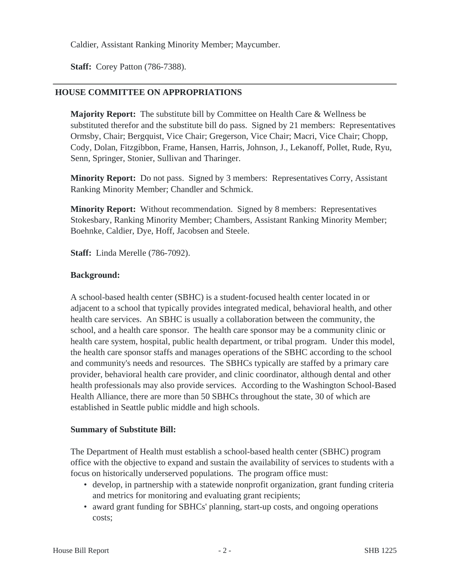Caldier, Assistant Ranking Minority Member; Maycumber.

**Staff:** Corey Patton (786-7388).

## **HOUSE COMMITTEE ON APPROPRIATIONS**

**Majority Report:** The substitute bill by Committee on Health Care & Wellness be substituted therefor and the substitute bill do pass. Signed by 21 members: Representatives Ormsby, Chair; Bergquist, Vice Chair; Gregerson, Vice Chair; Macri, Vice Chair; Chopp, Cody, Dolan, Fitzgibbon, Frame, Hansen, Harris, Johnson, J., Lekanoff, Pollet, Rude, Ryu, Senn, Springer, Stonier, Sullivan and Tharinger.

**Minority Report:** Do not pass. Signed by 3 members: Representatives Corry, Assistant Ranking Minority Member; Chandler and Schmick.

**Minority Report:** Without recommendation. Signed by 8 members: Representatives Stokesbary, Ranking Minority Member; Chambers, Assistant Ranking Minority Member; Boehnke, Caldier, Dye, Hoff, Jacobsen and Steele.

**Staff:** Linda Merelle (786-7092).

## **Background:**

A school-based health center (SBHC) is a student-focused health center located in or adjacent to a school that typically provides integrated medical, behavioral health, and other health care services. An SBHC is usually a collaboration between the community, the school, and a health care sponsor. The health care sponsor may be a community clinic or health care system, hospital, public health department, or tribal program. Under this model, the health care sponsor staffs and manages operations of the SBHC according to the school and community's needs and resources. The SBHCs typically are staffed by a primary care provider, behavioral health care provider, and clinic coordinator, although dental and other health professionals may also provide services. According to the Washington School-Based Health Alliance, there are more than 50 SBHCs throughout the state, 30 of which are established in Seattle public middle and high schools.

## **Summary of Substitute Bill:**

The Department of Health must establish a school-based health center (SBHC) program office with the objective to expand and sustain the availability of services to students with a focus on historically underserved populations. The program office must:

- develop, in partnership with a statewide nonprofit organization, grant funding criteria and metrics for monitoring and evaluating grant recipients;
- award grant funding for SBHCs' planning, start-up costs, and ongoing operations costs;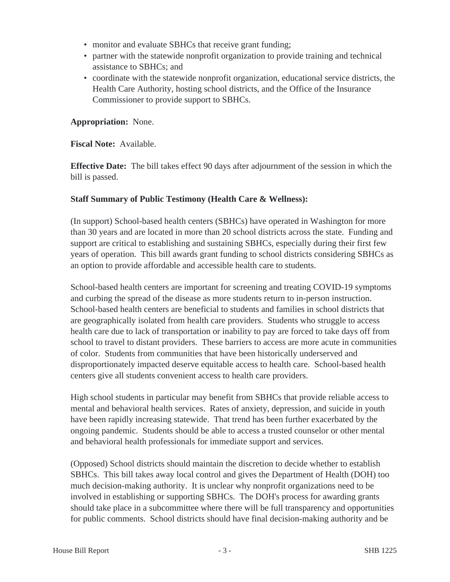- monitor and evaluate SBHCs that receive grant funding;
- partner with the statewide nonprofit organization to provide training and technical assistance to SBHCs; and
- coordinate with the statewide nonprofit organization, educational service districts, the Health Care Authority, hosting school districts, and the Office of the Insurance Commissioner to provide support to SBHCs.

**Appropriation:** None.

**Fiscal Note:** Available.

**Effective Date:** The bill takes effect 90 days after adjournment of the session in which the bill is passed.

## **Staff Summary of Public Testimony (Health Care & Wellness):**

(In support) School-based health centers (SBHCs) have operated in Washington for more than 30 years and are located in more than 20 school districts across the state. Funding and support are critical to establishing and sustaining SBHCs, especially during their first few years of operation. This bill awards grant funding to school districts considering SBHCs as an option to provide affordable and accessible health care to students.

School-based health centers are important for screening and treating COVID-19 symptoms and curbing the spread of the disease as more students return to in-person instruction. School-based health centers are beneficial to students and families in school districts that are geographically isolated from health care providers. Students who struggle to access health care due to lack of transportation or inability to pay are forced to take days off from school to travel to distant providers. These barriers to access are more acute in communities of color. Students from communities that have been historically underserved and disproportionately impacted deserve equitable access to health care. School-based health centers give all students convenient access to health care providers.

High school students in particular may benefit from SBHCs that provide reliable access to mental and behavioral health services. Rates of anxiety, depression, and suicide in youth have been rapidly increasing statewide. That trend has been further exacerbated by the ongoing pandemic. Students should be able to access a trusted counselor or other mental and behavioral health professionals for immediate support and services.

(Opposed) School districts should maintain the discretion to decide whether to establish SBHCs. This bill takes away local control and gives the Department of Health (DOH) too much decision-making authority. It is unclear why nonprofit organizations need to be involved in establishing or supporting SBHCs. The DOH's process for awarding grants should take place in a subcommittee where there will be full transparency and opportunities for public comments. School districts should have final decision-making authority and be